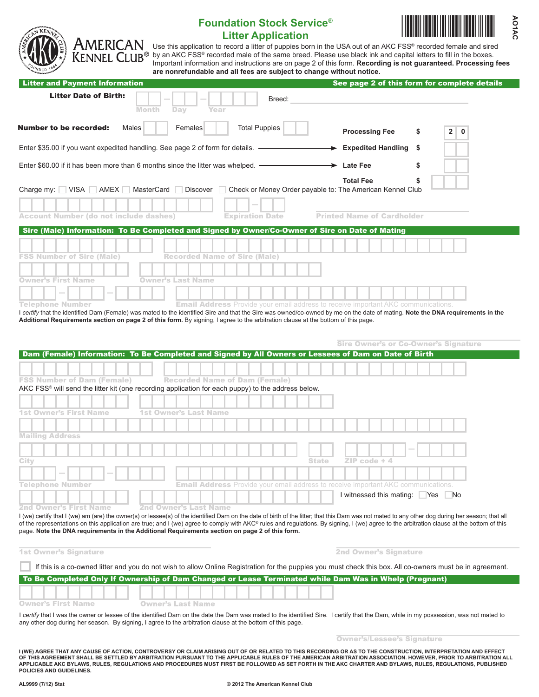| CAROS<br><b>AMERICAN</b><br><b>KENNEL CLUB®</b> |  |
|-------------------------------------------------|--|
|-------------------------------------------------|--|

## **Foundation Stock Service**® **Litter Application**



Use this application to record a litter of puppies born in the USA out of an AKC FSS® recorded female and sired by an AKC FSS® recorded male of the same breed. Please use black ink and capital letters to fill in the boxes. Important information and instructions are on page 2 of this form. **Recording is not guaranteed. Processing fees are nonrefundable and all fees are subject to change without notice.**

| <b>Litter Date of Birth:</b><br>Breed:<br><b>Month</b><br>Day<br>Year<br><b>Total Puppies</b><br>Males<br><b>Number to be recorded:</b><br>Females<br><b>Processing Fee</b><br>\$<br>$\mathbf{2}$<br>$\mathbf 0$<br>Enter \$35.00 if you want expedited handling. See page 2 of form for details. -<br><b>Expedited Handling \$</b><br>Enter \$60.00 if it has been more than 6 months since the litter was whelped. -<br>$\rightarrow$ Late Fee<br>\$<br><b>Total Fee</b><br>S<br>Charge my: VISA AMEX MasterCard<br>Discover Check or Money Order payable to: The American Kennel Club<br><b>Printed Name of Cardholder</b><br><b>Account Number (do not include dashes)</b><br><b>Expiration Date</b><br>Sire (Male) Information: To Be Completed and Signed by Owner/Co-Owner of Sire on Date of Mating<br><b>FSS Number of Sire (Male)</b><br><b>Recorded Name of Sire (Male)</b><br><b>Owner's First Name</b><br>Owner's Last Name<br>Telephone Number<br><b>Email Address</b> Provide your email address to receive important AKC communications.<br>I certify that the identified Dam (Female) was mated to the identified Sire and that the Sire was owned/co-owned by me on the date of mating. Note the DNA requirements in the<br>Additional Requirements section on page 2 of this form. By signing, I agree to the arbitration clause at the bottom of this page.<br><b>Sire Owner's or Co-Owner's Signature</b><br>Dam (Female) Information: To Be Completed and Signed by All Owners or Lessees of Dam on Date of Birth<br><b>FSS Number of Dam (Female)</b><br><b>Recorded Name of Dam (Female)</b><br>AKC FSS <sup>®</sup> will send the litter kit (one recording application for each puppy) to the address below.<br><b>1st Owner's First Name</b><br>1st Owner's Last Name<br><b>Mailing Address</b><br>City<br>ZIP code + 4<br>State<br><b>Email Address</b> Provide your email address to receive important AKC communications.<br>Telephone Number<br>I witnessed this mating:<br>- No<br><b>Nes</b><br><b>2nd Owner's First Name</b><br>2nd Owner's Last Name | I (we) certify that I (we) am (are) the owner(s) or lessee(s) of the identified Dam on the date of birth of the litter; that this Dam was not mated to any other dog during her season; that all<br>of the representations on this application are true; and I (we) agree to comply with AKC® rules and regulations. By signing, I (we) agree to the arbitration clause at the bottom of this | See page 2 of this form for complete details |  |  |
|-----------------------------------------------------------------------------------------------------------------------------------------------------------------------------------------------------------------------------------------------------------------------------------------------------------------------------------------------------------------------------------------------------------------------------------------------------------------------------------------------------------------------------------------------------------------------------------------------------------------------------------------------------------------------------------------------------------------------------------------------------------------------------------------------------------------------------------------------------------------------------------------------------------------------------------------------------------------------------------------------------------------------------------------------------------------------------------------------------------------------------------------------------------------------------------------------------------------------------------------------------------------------------------------------------------------------------------------------------------------------------------------------------------------------------------------------------------------------------------------------------------------------------------------------------------------------------------------------------------------------------------------------------------------------------------------------------------------------------------------------------------------------------------------------------------------------------------------------------------------------------------------------------------------------------------------------------------------------------------------------------------------------------------------------------------------------------------------|-----------------------------------------------------------------------------------------------------------------------------------------------------------------------------------------------------------------------------------------------------------------------------------------------------------------------------------------------------------------------------------------------|----------------------------------------------|--|--|
|                                                                                                                                                                                                                                                                                                                                                                                                                                                                                                                                                                                                                                                                                                                                                                                                                                                                                                                                                                                                                                                                                                                                                                                                                                                                                                                                                                                                                                                                                                                                                                                                                                                                                                                                                                                                                                                                                                                                                                                                                                                                                         |                                                                                                                                                                                                                                                                                                                                                                                               |                                              |  |  |
|                                                                                                                                                                                                                                                                                                                                                                                                                                                                                                                                                                                                                                                                                                                                                                                                                                                                                                                                                                                                                                                                                                                                                                                                                                                                                                                                                                                                                                                                                                                                                                                                                                                                                                                                                                                                                                                                                                                                                                                                                                                                                         |                                                                                                                                                                                                                                                                                                                                                                                               |                                              |  |  |
|                                                                                                                                                                                                                                                                                                                                                                                                                                                                                                                                                                                                                                                                                                                                                                                                                                                                                                                                                                                                                                                                                                                                                                                                                                                                                                                                                                                                                                                                                                                                                                                                                                                                                                                                                                                                                                                                                                                                                                                                                                                                                         |                                                                                                                                                                                                                                                                                                                                                                                               |                                              |  |  |
|                                                                                                                                                                                                                                                                                                                                                                                                                                                                                                                                                                                                                                                                                                                                                                                                                                                                                                                                                                                                                                                                                                                                                                                                                                                                                                                                                                                                                                                                                                                                                                                                                                                                                                                                                                                                                                                                                                                                                                                                                                                                                         |                                                                                                                                                                                                                                                                                                                                                                                               |                                              |  |  |
|                                                                                                                                                                                                                                                                                                                                                                                                                                                                                                                                                                                                                                                                                                                                                                                                                                                                                                                                                                                                                                                                                                                                                                                                                                                                                                                                                                                                                                                                                                                                                                                                                                                                                                                                                                                                                                                                                                                                                                                                                                                                                         |                                                                                                                                                                                                                                                                                                                                                                                               |                                              |  |  |
|                                                                                                                                                                                                                                                                                                                                                                                                                                                                                                                                                                                                                                                                                                                                                                                                                                                                                                                                                                                                                                                                                                                                                                                                                                                                                                                                                                                                                                                                                                                                                                                                                                                                                                                                                                                                                                                                                                                                                                                                                                                                                         |                                                                                                                                                                                                                                                                                                                                                                                               |                                              |  |  |
|                                                                                                                                                                                                                                                                                                                                                                                                                                                                                                                                                                                                                                                                                                                                                                                                                                                                                                                                                                                                                                                                                                                                                                                                                                                                                                                                                                                                                                                                                                                                                                                                                                                                                                                                                                                                                                                                                                                                                                                                                                                                                         |                                                                                                                                                                                                                                                                                                                                                                                               |                                              |  |  |
|                                                                                                                                                                                                                                                                                                                                                                                                                                                                                                                                                                                                                                                                                                                                                                                                                                                                                                                                                                                                                                                                                                                                                                                                                                                                                                                                                                                                                                                                                                                                                                                                                                                                                                                                                                                                                                                                                                                                                                                                                                                                                         |                                                                                                                                                                                                                                                                                                                                                                                               |                                              |  |  |
|                                                                                                                                                                                                                                                                                                                                                                                                                                                                                                                                                                                                                                                                                                                                                                                                                                                                                                                                                                                                                                                                                                                                                                                                                                                                                                                                                                                                                                                                                                                                                                                                                                                                                                                                                                                                                                                                                                                                                                                                                                                                                         |                                                                                                                                                                                                                                                                                                                                                                                               |                                              |  |  |
|                                                                                                                                                                                                                                                                                                                                                                                                                                                                                                                                                                                                                                                                                                                                                                                                                                                                                                                                                                                                                                                                                                                                                                                                                                                                                                                                                                                                                                                                                                                                                                                                                                                                                                                                                                                                                                                                                                                                                                                                                                                                                         |                                                                                                                                                                                                                                                                                                                                                                                               |                                              |  |  |
|                                                                                                                                                                                                                                                                                                                                                                                                                                                                                                                                                                                                                                                                                                                                                                                                                                                                                                                                                                                                                                                                                                                                                                                                                                                                                                                                                                                                                                                                                                                                                                                                                                                                                                                                                                                                                                                                                                                                                                                                                                                                                         |                                                                                                                                                                                                                                                                                                                                                                                               |                                              |  |  |
|                                                                                                                                                                                                                                                                                                                                                                                                                                                                                                                                                                                                                                                                                                                                                                                                                                                                                                                                                                                                                                                                                                                                                                                                                                                                                                                                                                                                                                                                                                                                                                                                                                                                                                                                                                                                                                                                                                                                                                                                                                                                                         |                                                                                                                                                                                                                                                                                                                                                                                               |                                              |  |  |
|                                                                                                                                                                                                                                                                                                                                                                                                                                                                                                                                                                                                                                                                                                                                                                                                                                                                                                                                                                                                                                                                                                                                                                                                                                                                                                                                                                                                                                                                                                                                                                                                                                                                                                                                                                                                                                                                                                                                                                                                                                                                                         |                                                                                                                                                                                                                                                                                                                                                                                               |                                              |  |  |
|                                                                                                                                                                                                                                                                                                                                                                                                                                                                                                                                                                                                                                                                                                                                                                                                                                                                                                                                                                                                                                                                                                                                                                                                                                                                                                                                                                                                                                                                                                                                                                                                                                                                                                                                                                                                                                                                                                                                                                                                                                                                                         |                                                                                                                                                                                                                                                                                                                                                                                               |                                              |  |  |
|                                                                                                                                                                                                                                                                                                                                                                                                                                                                                                                                                                                                                                                                                                                                                                                                                                                                                                                                                                                                                                                                                                                                                                                                                                                                                                                                                                                                                                                                                                                                                                                                                                                                                                                                                                                                                                                                                                                                                                                                                                                                                         |                                                                                                                                                                                                                                                                                                                                                                                               |                                              |  |  |
|                                                                                                                                                                                                                                                                                                                                                                                                                                                                                                                                                                                                                                                                                                                                                                                                                                                                                                                                                                                                                                                                                                                                                                                                                                                                                                                                                                                                                                                                                                                                                                                                                                                                                                                                                                                                                                                                                                                                                                                                                                                                                         |                                                                                                                                                                                                                                                                                                                                                                                               |                                              |  |  |
|                                                                                                                                                                                                                                                                                                                                                                                                                                                                                                                                                                                                                                                                                                                                                                                                                                                                                                                                                                                                                                                                                                                                                                                                                                                                                                                                                                                                                                                                                                                                                                                                                                                                                                                                                                                                                                                                                                                                                                                                                                                                                         |                                                                                                                                                                                                                                                                                                                                                                                               |                                              |  |  |
|                                                                                                                                                                                                                                                                                                                                                                                                                                                                                                                                                                                                                                                                                                                                                                                                                                                                                                                                                                                                                                                                                                                                                                                                                                                                                                                                                                                                                                                                                                                                                                                                                                                                                                                                                                                                                                                                                                                                                                                                                                                                                         |                                                                                                                                                                                                                                                                                                                                                                                               |                                              |  |  |
|                                                                                                                                                                                                                                                                                                                                                                                                                                                                                                                                                                                                                                                                                                                                                                                                                                                                                                                                                                                                                                                                                                                                                                                                                                                                                                                                                                                                                                                                                                                                                                                                                                                                                                                                                                                                                                                                                                                                                                                                                                                                                         |                                                                                                                                                                                                                                                                                                                                                                                               |                                              |  |  |
|                                                                                                                                                                                                                                                                                                                                                                                                                                                                                                                                                                                                                                                                                                                                                                                                                                                                                                                                                                                                                                                                                                                                                                                                                                                                                                                                                                                                                                                                                                                                                                                                                                                                                                                                                                                                                                                                                                                                                                                                                                                                                         |                                                                                                                                                                                                                                                                                                                                                                                               |                                              |  |  |
|                                                                                                                                                                                                                                                                                                                                                                                                                                                                                                                                                                                                                                                                                                                                                                                                                                                                                                                                                                                                                                                                                                                                                                                                                                                                                                                                                                                                                                                                                                                                                                                                                                                                                                                                                                                                                                                                                                                                                                                                                                                                                         |                                                                                                                                                                                                                                                                                                                                                                                               |                                              |  |  |
|                                                                                                                                                                                                                                                                                                                                                                                                                                                                                                                                                                                                                                                                                                                                                                                                                                                                                                                                                                                                                                                                                                                                                                                                                                                                                                                                                                                                                                                                                                                                                                                                                                                                                                                                                                                                                                                                                                                                                                                                                                                                                         |                                                                                                                                                                                                                                                                                                                                                                                               |                                              |  |  |
|                                                                                                                                                                                                                                                                                                                                                                                                                                                                                                                                                                                                                                                                                                                                                                                                                                                                                                                                                                                                                                                                                                                                                                                                                                                                                                                                                                                                                                                                                                                                                                                                                                                                                                                                                                                                                                                                                                                                                                                                                                                                                         |                                                                                                                                                                                                                                                                                                                                                                                               |                                              |  |  |
|                                                                                                                                                                                                                                                                                                                                                                                                                                                                                                                                                                                                                                                                                                                                                                                                                                                                                                                                                                                                                                                                                                                                                                                                                                                                                                                                                                                                                                                                                                                                                                                                                                                                                                                                                                                                                                                                                                                                                                                                                                                                                         |                                                                                                                                                                                                                                                                                                                                                                                               |                                              |  |  |
|                                                                                                                                                                                                                                                                                                                                                                                                                                                                                                                                                                                                                                                                                                                                                                                                                                                                                                                                                                                                                                                                                                                                                                                                                                                                                                                                                                                                                                                                                                                                                                                                                                                                                                                                                                                                                                                                                                                                                                                                                                                                                         |                                                                                                                                                                                                                                                                                                                                                                                               |                                              |  |  |
|                                                                                                                                                                                                                                                                                                                                                                                                                                                                                                                                                                                                                                                                                                                                                                                                                                                                                                                                                                                                                                                                                                                                                                                                                                                                                                                                                                                                                                                                                                                                                                                                                                                                                                                                                                                                                                                                                                                                                                                                                                                                                         |                                                                                                                                                                                                                                                                                                                                                                                               |                                              |  |  |
|                                                                                                                                                                                                                                                                                                                                                                                                                                                                                                                                                                                                                                                                                                                                                                                                                                                                                                                                                                                                                                                                                                                                                                                                                                                                                                                                                                                                                                                                                                                                                                                                                                                                                                                                                                                                                                                                                                                                                                                                                                                                                         |                                                                                                                                                                                                                                                                                                                                                                                               |                                              |  |  |
|                                                                                                                                                                                                                                                                                                                                                                                                                                                                                                                                                                                                                                                                                                                                                                                                                                                                                                                                                                                                                                                                                                                                                                                                                                                                                                                                                                                                                                                                                                                                                                                                                                                                                                                                                                                                                                                                                                                                                                                                                                                                                         |                                                                                                                                                                                                                                                                                                                                                                                               |                                              |  |  |
|                                                                                                                                                                                                                                                                                                                                                                                                                                                                                                                                                                                                                                                                                                                                                                                                                                                                                                                                                                                                                                                                                                                                                                                                                                                                                                                                                                                                                                                                                                                                                                                                                                                                                                                                                                                                                                                                                                                                                                                                                                                                                         |                                                                                                                                                                                                                                                                                                                                                                                               |                                              |  |  |
|                                                                                                                                                                                                                                                                                                                                                                                                                                                                                                                                                                                                                                                                                                                                                                                                                                                                                                                                                                                                                                                                                                                                                                                                                                                                                                                                                                                                                                                                                                                                                                                                                                                                                                                                                                                                                                                                                                                                                                                                                                                                                         |                                                                                                                                                                                                                                                                                                                                                                                               |                                              |  |  |
| <b>2nd Owner's Signature</b>                                                                                                                                                                                                                                                                                                                                                                                                                                                                                                                                                                                                                                                                                                                                                                                                                                                                                                                                                                                                                                                                                                                                                                                                                                                                                                                                                                                                                                                                                                                                                                                                                                                                                                                                                                                                                                                                                                                                                                                                                                                            |                                                                                                                                                                                                                                                                                                                                                                                               |                                              |  |  |
| If this is a co-owned litter and you do not wish to allow Online Registration for the puppies you must check this box. All co-owners must be in agreement.                                                                                                                                                                                                                                                                                                                                                                                                                                                                                                                                                                                                                                                                                                                                                                                                                                                                                                                                                                                                                                                                                                                                                                                                                                                                                                                                                                                                                                                                                                                                                                                                                                                                                                                                                                                                                                                                                                                              |                                                                                                                                                                                                                                                                                                                                                                                               |                                              |  |  |
| page. Note the DNA requirements in the Additional Requirements section on page 2 of this form.<br><b>1st Owner's Signature</b><br>To Be Completed Only If Ownership of Dam Changed or Lease Terminated while Dam Was in Whelp (Pregnant)                                                                                                                                                                                                                                                                                                                                                                                                                                                                                                                                                                                                                                                                                                                                                                                                                                                                                                                                                                                                                                                                                                                                                                                                                                                                                                                                                                                                                                                                                                                                                                                                                                                                                                                                                                                                                                                |                                                                                                                                                                                                                                                                                                                                                                                               |                                              |  |  |
|                                                                                                                                                                                                                                                                                                                                                                                                                                                                                                                                                                                                                                                                                                                                                                                                                                                                                                                                                                                                                                                                                                                                                                                                                                                                                                                                                                                                                                                                                                                                                                                                                                                                                                                                                                                                                                                                                                                                                                                                                                                                                         | <b>Owner's First Name</b><br><b>Owner's Last Name</b>                                                                                                                                                                                                                                                                                                                                         |                                              |  |  |

any other dog during her season. By signing, I agree to the arbitration clause at the bottom of this page.

Owner's/Lessee's Signature

**I (WE) AGREE THAT ANY CAUSE OF ACTION, CONTROVERSY OR CLAIM ARISING OUT OF OR RELATED TO THIS RECORDING OR AS TO THE CONSTRUCTION, INTERPRETATION AND EFFECT OF THIS AGREEMENT SHALL BE SETTLED BY ARBITRATION PURSUANT TO THE APPLICABLE RULES OF THE AMERICAN ARBITRATION ASSOCIATION. HOWEVER, PRIOR TO ARBITRATION ALL APPLICABLE AKC BYLAWS, RULES, REGULATIONS AND PROCEDURES MUST FIRST BE FOLLOWED AS SET FORTH IN THE AKC CHARTER AND BYLAWS, RULES, REGULATIONS, PUBLISHED POLICIES AND GUIDELINES.**